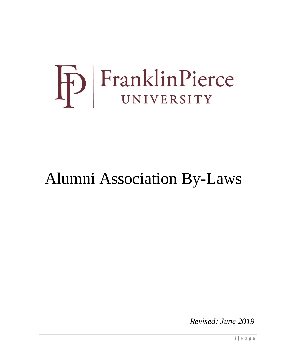# FranklinPierce

# Alumni Association By-Laws

*Revised: June 2019*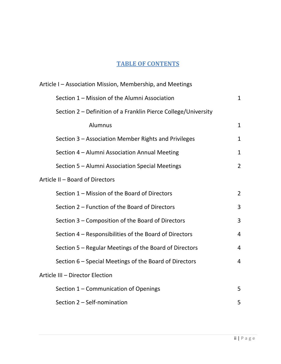# **TABLE OF CONTENTS**

| Article I - Association Mission, Membership, and Meetings      |                |  |  |  |
|----------------------------------------------------------------|----------------|--|--|--|
| Section 1 - Mission of the Alumni Association                  | $\mathbf{1}$   |  |  |  |
| Section 2 - Definition of a Franklin Pierce College/University |                |  |  |  |
| Alumnus                                                        | $\mathbf{1}$   |  |  |  |
| Section 3 – Association Member Rights and Privileges           | $\mathbf{1}$   |  |  |  |
| Section 4 - Alumni Association Annual Meeting                  | $\mathbf 1$    |  |  |  |
| Section 5 - Alumni Association Special Meetings                | $\overline{2}$ |  |  |  |
| Article II - Board of Directors                                |                |  |  |  |
| Section 1 - Mission of the Board of Directors                  | $\overline{2}$ |  |  |  |
| Section 2 – Function of the Board of Directors                 | 3              |  |  |  |
| Section 3 - Composition of the Board of Directors              | 3              |  |  |  |
| Section 4 - Responsibilities of the Board of Directors         | $\overline{4}$ |  |  |  |
| Section 5 - Regular Meetings of the Board of Directors         | 4              |  |  |  |
| Section 6 – Special Meetings of the Board of Directors         | 4              |  |  |  |
| Article III - Director Election                                |                |  |  |  |
| Section 1 - Communication of Openings                          | 5              |  |  |  |
| Section 2 - Self-nomination                                    | 5              |  |  |  |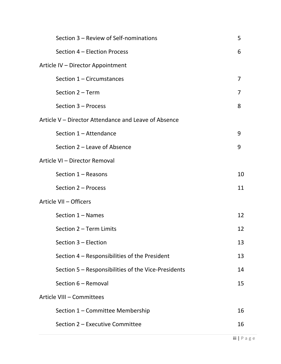|                               | Section 3 – Review of Self-nominations               | 5              |  |  |
|-------------------------------|------------------------------------------------------|----------------|--|--|
|                               | Section 4 - Election Process                         | 6              |  |  |
|                               | Article IV - Director Appointment                    |                |  |  |
|                               | Section 1 - Circumstances                            | $\overline{7}$ |  |  |
|                               | Section 2 - Term                                     | 7              |  |  |
|                               | Section 3 - Process                                  | 8              |  |  |
|                               | Article V – Director Attendance and Leave of Absence |                |  |  |
|                               | Section 1 - Attendance                               | 9              |  |  |
|                               | Section 2 – Leave of Absence                         | 9              |  |  |
| Article VI - Director Removal |                                                      |                |  |  |
|                               | Section $1 -$ Reasons                                | 10             |  |  |
|                               | Section 2 - Process                                  | 11             |  |  |
| Article VII - Officers        |                                                      |                |  |  |
|                               | Section 1 - Names                                    | 12             |  |  |
|                               | Section 2 - Term Limits                              | 12             |  |  |
|                               | Section 3 - Election                                 | 13             |  |  |
|                               | Section 4 - Responsibilities of the President        | 13             |  |  |
|                               | Section 5 - Responsibilities of the Vice-Presidents  | 14             |  |  |
|                               | Section 6 - Removal                                  | 15             |  |  |
| Article VIII - Committees     |                                                      |                |  |  |
|                               | Section 1 - Committee Membership                     | 16             |  |  |
|                               | Section 2 - Executive Committee                      | 16             |  |  |
|                               |                                                      |                |  |  |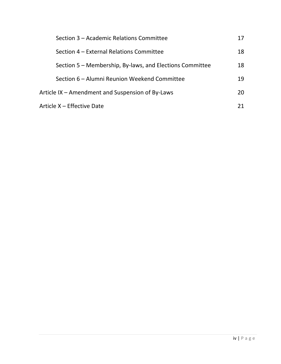|                                                  | Section 3 – Academic Relations Committee                 |    |
|--------------------------------------------------|----------------------------------------------------------|----|
|                                                  | Section 4 – External Relations Committee                 | 18 |
|                                                  | Section 5 – Membership, By-laws, and Elections Committee | 18 |
|                                                  | Section 6 – Alumni Reunion Weekend Committee             | 19 |
| Article IX – Amendment and Suspension of By-Laws |                                                          | 20 |
| Article X – Effective Date                       |                                                          |    |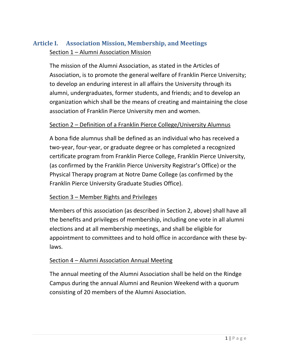# **Article I. Association Mission, Membership, and Meetings** Section 1 – Alumni Association Mission

The mission of the Alumni Association, as stated in the Articles of Association, is to promote the general welfare of Franklin Pierce University; to develop an enduring interest in all affairs the University through its alumni, undergraduates, former students, and friends; and to develop an organization which shall be the means of creating and maintaining the close association of Franklin Pierce University men and women.

#### Section 2 – Definition of a Franklin Pierce College/University Alumnus

A bona fide alumnus shall be defined as an individual who has received a two-year, four-year, or graduate degree or has completed a recognized certificate program from Franklin Pierce College, Franklin Pierce University, (as confirmed by the Franklin Pierce University Registrar's Office) or the Physical Therapy program at Notre Dame College (as confirmed by the Franklin Pierce University Graduate Studies Office).

#### Section 3 – Member Rights and Privileges

Members of this association (as described in Section 2, above) shall have all the benefits and privileges of membership, including one vote in all alumni elections and at all membership meetings, and shall be eligible for appointment to committees and to hold office in accordance with these bylaws.

# Section 4 – Alumni Association Annual Meeting

The annual meeting of the Alumni Association shall be held on the Rindge Campus during the annual Alumni and Reunion Weekend with a quorum consisting of 20 members of the Alumni Association.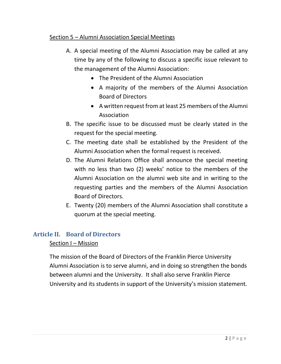#### Section 5 – Alumni Association Special Meetings

- A. A special meeting of the Alumni Association may be called at any time by any of the following to discuss a specific issue relevant to the management of the Alumni Association:
	- The President of the Alumni Association
	- A majority of the members of the Alumni Association Board of Directors
	- A written request from at least 25 members of the Alumni Association
- B. The specific issue to be discussed must be clearly stated in the request for the special meeting.
- C. The meeting date shall be established by the President of the Alumni Association when the formal request is received.
- D. The Alumni Relations Office shall announce the special meeting with no less than two (2) weeks' notice to the members of the Alumni Association on the alumni web site and in writing to the requesting parties and the members of the Alumni Association Board of Directors.
- E. Twenty (20) members of the Alumni Association shall constitute a quorum at the special meeting.

# **Article II. Board of Directors**

#### Section I - Mission

The mission of the Board of Directors of the Franklin Pierce University Alumni Association is to serve alumni, and in doing so strengthen the bonds between alumni and the University. It shall also serve Franklin Pierce University and its students in support of the University's mission statement.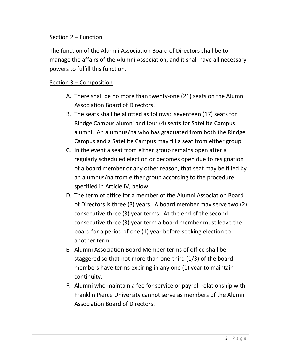#### Section 2 – Function

The function of the Alumni Association Board of Directors shall be to manage the affairs of the Alumni Association, and it shall have all necessary powers to fulfill this function.

#### Section 3 – Composition

- A. There shall be no more than twenty-one (21) seats on the Alumni Association Board of Directors.
- B. The seats shall be allotted as follows: seventeen (17) seats for Rindge Campus alumni and four (4) seats for Satellite Campus alumni. An alumnus/na who has graduated from both the Rindge Campus and a Satellite Campus may fill a seat from either group.
- C. In the event a seat from either group remains open after a regularly scheduled election or becomes open due to resignation of a board member or any other reason, that seat may be filled by an alumnus/na from either group according to the procedure specified in Article IV, below.
- D. The term of office for a member of the Alumni Association Board of Directors is three (3) years. A board member may serve two (2) consecutive three (3) year terms. At the end of the second consecutive three (3) year term a board member must leave the board for a period of one (1) year before seeking election to another term.
- E. Alumni Association Board Member terms of office shall be staggered so that not more than one-third (1/3) of the board members have terms expiring in any one (1) year to maintain continuity.
- F. Alumni who maintain a fee for service or payroll relationship with Franklin Pierce University cannot serve as members of the Alumni Association Board of Directors.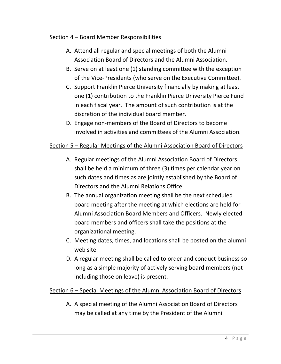#### Section 4 - Board Member Responsibilities

- A. Attend all regular and special meetings of both the Alumni Association Board of Directors and the Alumni Association.
- B. Serve on at least one (1) standing committee with the exception of the Vice-Presidents (who serve on the Executive Committee).
- C. Support Franklin Pierce University financially by making at least one (1) contribution to the Franklin Pierce University Pierce Fund in each fiscal year. The amount of such contribution is at the discretion of the individual board member.
- D. Engage non-members of the Board of Directors to become involved in activities and committees of the Alumni Association.

#### Section 5 – Regular Meetings of the Alumni Association Board of Directors

- A. Regular meetings of the Alumni Association Board of Directors shall be held a minimum of three (3) times per calendar year on such dates and times as are jointly established by the Board of Directors and the Alumni Relations Office.
- B. The annual organization meeting shall be the next scheduled board meeting after the meeting at which elections are held for Alumni Association Board Members and Officers. Newly elected board members and officers shall take the positions at the organizational meeting.
- C. Meeting dates, times, and locations shall be posted on the alumni web site.
- D. A regular meeting shall be called to order and conduct business so long as a simple majority of actively serving board members (not including those on leave) is present.

#### Section 6 – Special Meetings of the Alumni Association Board of Directors

A. A special meeting of the Alumni Association Board of Directors may be called at any time by the President of the Alumni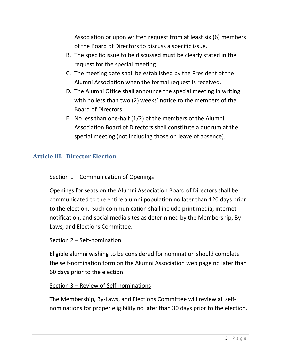Association or upon written request from at least six (6) members of the Board of Directors to discuss a specific issue.

- B. The specific issue to be discussed must be clearly stated in the request for the special meeting.
- C. The meeting date shall be established by the President of the Alumni Association when the formal request is received.
- D. The Alumni Office shall announce the special meeting in writing with no less than two (2) weeks' notice to the members of the Board of Directors.
- E. No less than one-half (1/2) of the members of the Alumni Association Board of Directors shall constitute a quorum at the special meeting (not including those on leave of absence).

# **Article III. Director Election**

# Section 1 – Communication of Openings

Openings for seats on the Alumni Association Board of Directors shall be communicated to the entire alumni population no later than 120 days prior to the election. Such communication shall include print media, internet notification, and social media sites as determined by the Membership, By-Laws, and Elections Committee.

# Section 2 – Self-nomination

Eligible alumni wishing to be considered for nomination should complete the self-nomination form on the Alumni Association web page no later than 60 days prior to the election.

# Section 3 – Review of Self-nominations

The Membership, By-Laws, and Elections Committee will review all selfnominations for proper eligibility no later than 30 days prior to the election.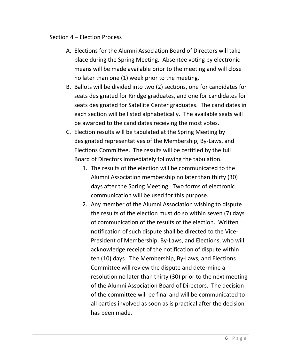#### Section 4 – Election Process

- A. Elections for the Alumni Association Board of Directors will take place during the Spring Meeting. Absentee voting by electronic means will be made available prior to the meeting and will close no later than one (1) week prior to the meeting.
- B. Ballots will be divided into two (2) sections, one for candidates for seats designated for Rindge graduates, and one for candidates for seats designated for Satellite Center graduates. The candidates in each section will be listed alphabetically. The available seats will be awarded to the candidates receiving the most votes.
- C. Election results will be tabulated at the Spring Meeting by designated representatives of the Membership, By-Laws, and Elections Committee. The results will be certified by the full Board of Directors immediately following the tabulation.
	- 1. The results of the election will be communicated to the Alumni Association membership no later than thirty (30) days after the Spring Meeting. Two forms of electronic communication will be used for this purpose.
	- 2. Any member of the Alumni Association wishing to dispute the results of the election must do so within seven (7) days of communication of the results of the election. Written notification of such dispute shall be directed to the Vice-President of Membership, By-Laws, and Elections, who will acknowledge receipt of the notification of dispute within ten (10) days. The Membership, By-Laws, and Elections Committee will review the dispute and determine a resolution no later than thirty (30) prior to the next meeting of the Alumni Association Board of Directors. The decision of the committee will be final and will be communicated to all parties involved as soon as is practical after the decision has been made.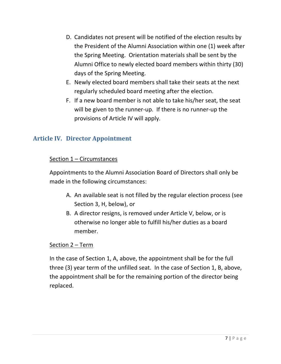- D. Candidates not present will be notified of the election results by the President of the Alumni Association within one (1) week after the Spring Meeting. Orientation materials shall be sent by the Alumni Office to newly elected board members within thirty (30) days of the Spring Meeting.
- E. Newly elected board members shall take their seats at the next regularly scheduled board meeting after the election.
- F. If a new board member is not able to take his/her seat, the seat will be given to the runner-up. If there is no runner-up the provisions of Article IV will apply.

# **Article IV. Director Appointment**

# Section 1 – Circumstances

Appointments to the Alumni Association Board of Directors shall only be made in the following circumstances:

- A. An available seat is not filled by the regular election process (see Section 3, H, below), or
- B. A director resigns, is removed under Article V, below, or is otherwise no longer able to fulfill his/her duties as a board member.

# Section 2 – Term

In the case of Section 1, A, above, the appointment shall be for the full three (3) year term of the unfilled seat. In the case of Section 1, B, above, the appointment shall be for the remaining portion of the director being replaced.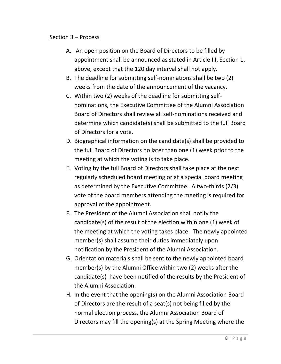#### Section 3 – Process

- A. An open position on the Board of Directors to be filled by appointment shall be announced as stated in Article III, Section 1, above, except that the 120 day interval shall not apply.
- B. The deadline for submitting self-nominations shall be two (2) weeks from the date of the announcement of the vacancy.
- C. Within two (2) weeks of the deadline for submitting selfnominations, the Executive Committee of the Alumni Association Board of Directors shall review all self-nominations received and determine which candidate(s) shall be submitted to the full Board of Directors for a vote.
- D. Biographical information on the candidate(s) shall be provided to the full Board of Directors no later than one (1) week prior to the meeting at which the voting is to take place.
- E. Voting by the full Board of Directors shall take place at the next regularly scheduled board meeting or at a special board meeting as determined by the Executive Committee. A two-thirds (2/3) vote of the board members attending the meeting is required for approval of the appointment.
- F. The President of the Alumni Association shall notify the candidate(s) of the result of the election within one (1) week of the meeting at which the voting takes place. The newly appointed member(s) shall assume their duties immediately upon notification by the President of the Alumni Association.
- G. Orientation materials shall be sent to the newly appointed board member(s) by the Alumni Office within two (2) weeks after the candidate(s) have been notified of the results by the President of the Alumni Association.
- H. In the event that the opening(s) on the Alumni Association Board of Directors are the result of a seat(s) not being filled by the normal election process, the Alumni Association Board of Directors may fill the opening(s) at the Spring Meeting where the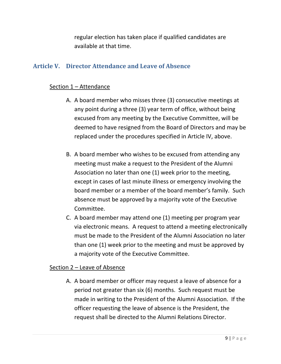regular election has taken place if qualified candidates are available at that time.

# **Article V. Director Attendance and Leave of Absence**

#### Section 1 – Attendance

- A. A board member who misses three (3) consecutive meetings at any point during a three (3) year term of office, without being excused from any meeting by the Executive Committee, will be deemed to have resigned from the Board of Directors and may be replaced under the procedures specified in Article IV, above.
- B. A board member who wishes to be excused from attending any meeting must make a request to the President of the Alumni Association no later than one (1) week prior to the meeting, except in cases of last minute illness or emergency involving the board member or a member of the board member's family. Such absence must be approved by a majority vote of the Executive Committee.
- C. A board member may attend one (1) meeting per program year via electronic means. A request to attend a meeting electronically must be made to the President of the Alumni Association no later than one (1) week prior to the meeting and must be approved by a majority vote of the Executive Committee.

#### Section 2 – Leave of Absence

A. A board member or officer may request a leave of absence for a period not greater than six (6) months. Such request must be made in writing to the President of the Alumni Association. If the officer requesting the leave of absence is the President, the request shall be directed to the Alumni Relations Director.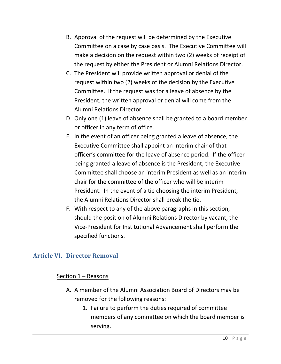- B. Approval of the request will be determined by the Executive Committee on a case by case basis. The Executive Committee will make a decision on the request within two (2) weeks of receipt of the request by either the President or Alumni Relations Director.
- C. The President will provide written approval or denial of the request within two (2) weeks of the decision by the Executive Committee. If the request was for a leave of absence by the President, the written approval or denial will come from the Alumni Relations Director.
- D. Only one (1) leave of absence shall be granted to a board member or officer in any term of office.
- E. In the event of an officer being granted a leave of absence, the Executive Committee shall appoint an interim chair of that officer's committee for the leave of absence period. If the officer being granted a leave of absence is the President, the Executive Committee shall choose an interim President as well as an interim chair for the committee of the officer who will be interim President. In the event of a tie choosing the interim President, the Alumni Relations Director shall break the tie.
- F. With respect to any of the above paragraphs in this section, should the position of Alumni Relations Director by vacant, the Vice-President for Institutional Advancement shall perform the specified functions.

# **Article VI. Director Removal**

#### Section 1 – Reasons

- A. A member of the Alumni Association Board of Directors may be removed for the following reasons:
	- 1. Failure to perform the duties required of committee members of any committee on which the board member is serving.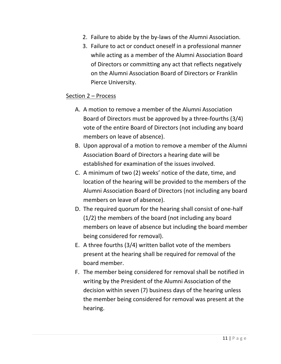- 2. Failure to abide by the by-laws of the Alumni Association.
- 3. Failure to act or conduct oneself in a professional manner while acting as a member of the Alumni Association Board of Directors or committing any act that reflects negatively on the Alumni Association Board of Directors or Franklin Pierce University.

#### Section 2 – Process

- A. A motion to remove a member of the Alumni Association Board of Directors must be approved by a three-fourths (3/4) vote of the entire Board of Directors (not including any board members on leave of absence).
- B. Upon approval of a motion to remove a member of the Alumni Association Board of Directors a hearing date will be established for examination of the issues involved.
- C. A minimum of two (2) weeks' notice of the date, time, and location of the hearing will be provided to the members of the Alumni Association Board of Directors (not including any board members on leave of absence).
- D. The required quorum for the hearing shall consist of one-half (1/2) the members of the board (not including any board members on leave of absence but including the board member being considered for removal).
- E. A three fourths (3/4) written ballot vote of the members present at the hearing shall be required for removal of the board member.
- F. The member being considered for removal shall be notified in writing by the President of the Alumni Association of the decision within seven (7) business days of the hearing unless the member being considered for removal was present at the hearing.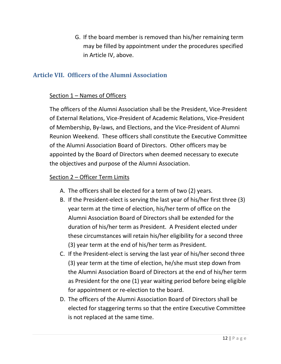G. If the board member is removed than his/her remaining term may be filled by appointment under the procedures specified in Article IV, above.

# **Article VII. Officers of the Alumni Association**

#### Section 1 – Names of Officers

The officers of the Alumni Association shall be the President, Vice-President of External Relations, Vice-President of Academic Relations, Vice-President of Membership, By-laws, and Elections, and the Vice-President of Alumni Reunion Weekend. These officers shall constitute the Executive Committee of the Alumni Association Board of Directors. Other officers may be appointed by the Board of Directors when deemed necessary to execute the objectives and purpose of the Alumni Association.

#### Section 2 – Officer Term Limits

- A. The officers shall be elected for a term of two (2) years.
- B. If the President-elect is serving the last year of his/her first three (3) year term at the time of election, his/her term of office on the Alumni Association Board of Directors shall be extended for the duration of his/her term as President. A President elected under these circumstances will retain his/her eligibility for a second three (3) year term at the end of his/her term as President.
- C. If the President-elect is serving the last year of his/her second three (3) year term at the time of election, he/she must step down from the Alumni Association Board of Directors at the end of his/her term as President for the one (1) year waiting period before being eligible for appointment or re-election to the board.
- D. The officers of the Alumni Association Board of Directors shall be elected for staggering terms so that the entire Executive Committee is not replaced at the same time.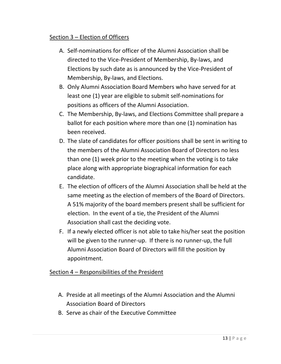#### Section 3 – Election of Officers

- A. Self-nominations for officer of the Alumni Association shall be directed to the Vice-President of Membership, By-laws, and Elections by such date as is announced by the Vice-President of Membership, By-laws, and Elections.
- B. Only Alumni Association Board Members who have served for at least one (1) year are eligible to submit self-nominations for positions as officers of the Alumni Association.
- C. The Membership, By-laws, and Elections Committee shall prepare a ballot for each position where more than one (1) nomination has been received.
- D. The slate of candidates for officer positions shall be sent in writing to the members of the Alumni Association Board of Directors no less than one (1) week prior to the meeting when the voting is to take place along with appropriate biographical information for each candidate.
- E. The election of officers of the Alumni Association shall be held at the same meeting as the election of members of the Board of Directors. A 51% majority of the board members present shall be sufficient for election. In the event of a tie, the President of the Alumni Association shall cast the deciding vote.
- F. If a newly elected officer is not able to take his/her seat the position will be given to the runner-up. If there is no runner-up, the full Alumni Association Board of Directors will fill the position by appointment.

# Section 4 – Responsibilities of the President

- A. Preside at all meetings of the Alumni Association and the Alumni Association Board of Directors
- B. Serve as chair of the Executive Committee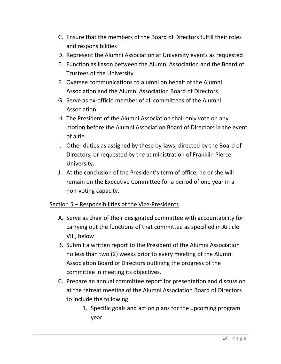- C. Ensure that the members of the Board of Directors fulfill their roles and responsibilities
- D. Represent the Alumni Association at University events as requested
- E. Function as liason between the Alumni Association and the Board of Trustees of the University
- F. Oversee communications to alumni on behalf of the Alumni Association and the Alumni Association Board of Directors
- G. Serve as ex-officio member of all committees of the Alumni Association
- H. The President of the Alumni Association shall only vote on any motion before the Alumni Association Board of Directors in the event of a tie.
- I. Other duties as assigned by these by-laws, directed by the Board of Directors, or requested by the administration of Franklin Pierce University.
- J. At the conclusion of the President's term of office, he or she will remain on the Executive Committee for a period of one year in a non-voting capacity.

# Section 5 – Responsibilities of the Vice-Presidents

- A. Serve as chair of their designated committee with accountability for carrying out the functions of that committee as specified in Article VIII, below
- B. Submit a written report to the President of the Alumni Association no less than two (2) weeks prior to every meeting of the Alumni Association Board of Directors outlining the progress of the committee in meeting its objectives.
- C. Prepare an annual committee report for presentation and discussion at the retreat meeting of the Alumni Association Board of Directors to include the following:
	- 1. Specific goals and action plans for the upcoming program year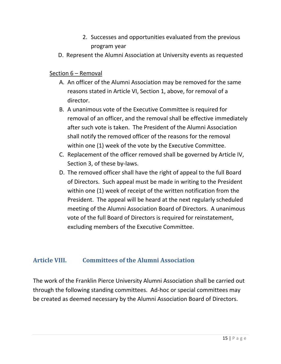- 2. Successes and opportunities evaluated from the previous program year
- D. Represent the Alumni Association at University events as requested

#### Section 6 – Removal

- A. An officer of the Alumni Association may be removed for the same reasons stated in Article VI, Section 1, above, for removal of a director.
- B. A unanimous vote of the Executive Committee is required for removal of an officer, and the removal shall be effective immediately after such vote is taken. The President of the Alumni Association shall notify the removed officer of the reasons for the removal within one (1) week of the vote by the Executive Committee.
- C. Replacement of the officer removed shall be governed by Article IV, Section 3, of these by-laws.
- D. The removed officer shall have the right of appeal to the full Board of Directors. Such appeal must be made in writing to the President within one (1) week of receipt of the written notification from the President. The appeal will be heard at the next regularly scheduled meeting of the Alumni Association Board of Directors. A unanimous vote of the full Board of Directors is required for reinstatement, excluding members of the Executive Committee.

# **Article VIII. Committees of the Alumni Association**

The work of the Franklin Pierce University Alumni Association shall be carried out through the following standing committees. Ad-hoc or special committees may be created as deemed necessary by the Alumni Association Board of Directors.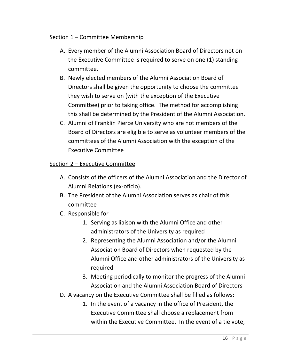#### Section 1 – Committee Membership

- A. Every member of the Alumni Association Board of Directors not on the Executive Committee is required to serve on one (1) standing committee.
- B. Newly elected members of the Alumni Association Board of Directors shall be given the opportunity to choose the committee they wish to serve on (with the exception of the Executive Committee) prior to taking office. The method for accomplishing this shall be determined by the President of the Alumni Association.
- C. Alumni of Franklin Pierce University who are not members of the Board of Directors are eligible to serve as volunteer members of the committees of the Alumni Association with the exception of the Executive Committee

#### Section 2 – Executive Committee

- A. Consists of the officers of the Alumni Association and the Director of Alumni Relations (ex-oficio).
- B. The President of the Alumni Association serves as chair of this committee
- C. Responsible for
	- 1. Serving as liaison with the Alumni Office and other administrators of the University as required
	- 2. Representing the Alumni Association and/or the Alumni Association Board of Directors when requested by the Alumni Office and other administrators of the University as required
	- 3. Meeting periodically to monitor the progress of the Alumni Association and the Alumni Association Board of Directors
- D. A vacancy on the Executive Committee shall be filled as follows:
	- 1. In the event of a vacancy in the office of President, the Executive Committee shall choose a replacement from within the Executive Committee. In the event of a tie vote,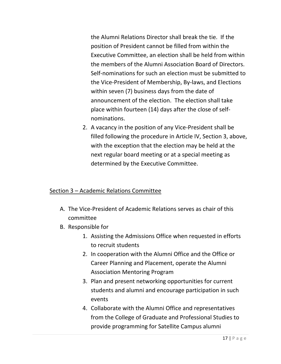the Alumni Relations Director shall break the tie. If the position of President cannot be filled from within the Executive Committee, an election shall be held from within the members of the Alumni Association Board of Directors. Self-nominations for such an election must be submitted to the Vice-President of Membership, By-laws, and Elections within seven (7) business days from the date of announcement of the election. The election shall take place within fourteen (14) days after the close of selfnominations.

2. A vacancy in the position of any Vice-President shall be filled following the procedure in Article IV, Section 3, above, with the exception that the election may be held at the next regular board meeting or at a special meeting as determined by the Executive Committee.

# Section 3 – Academic Relations Committee

- A. The Vice-President of Academic Relations serves as chair of this committee
- B. Responsible for
	- 1. Assisting the Admissions Office when requested in efforts to recruit students
	- 2. In cooperation with the Alumni Office and the Office or Career Planning and Placement, operate the Alumni Association Mentoring Program
	- 3. Plan and present networking opportunities for current students and alumni and encourage participation in such events
	- 4. Collaborate with the Alumni Office and representatives from the College of Graduate and Professional Studies to provide programming for Satellite Campus alumni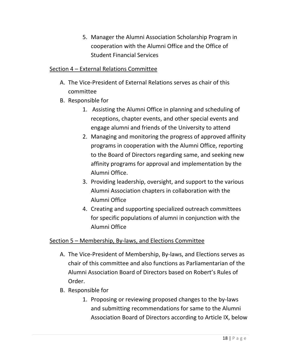5. Manager the Alumni Association Scholarship Program in cooperation with the Alumni Office and the Office of Student Financial Services

# Section 4 – External Relations Committee

- A. The Vice-President of External Relations serves as chair of this committee
- B. Responsible for
	- 1. Assisting the Alumni Office in planning and scheduling of receptions, chapter events, and other special events and engage alumni and friends of the University to attend
	- 2. Managing and monitoring the progress of approved affinity programs in cooperation with the Alumni Office, reporting to the Board of Directors regarding same, and seeking new affinity programs for approval and implementation by the Alumni Office.
	- 3. Providing leadership, oversight, and support to the various Alumni Association chapters in collaboration with the Alumni Office
	- 4. Creating and supporting specialized outreach committees for specific populations of alumni in conjunction with the Alumni Office

# Section 5 – Membership, By-laws, and Elections Committee

- A. The Vice-President of Membership, By-laws, and Elections serves as chair of this committee and also functions as Parliamentarian of the Alumni Association Board of Directors based on Robert's Rules of Order.
- B. Responsible for
	- 1. Proposing or reviewing proposed changes to the by-laws and submitting recommendations for same to the Alumni Association Board of Directors according to Article IX, below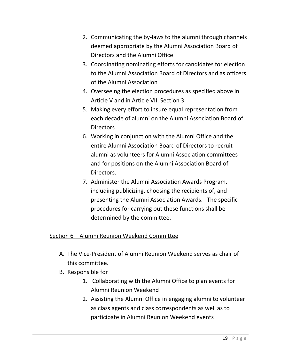- 2. Communicating the by-laws to the alumni through channels deemed appropriate by the Alumni Association Board of Directors and the Alumni Office
- 3. Coordinating nominating efforts for candidates for election to the Alumni Association Board of Directors and as officers of the Alumni Association
- 4. Overseeing the election procedures as specified above in Article V and in Article VII, Section 3
- 5. Making every effort to insure equal representation from each decade of alumni on the Alumni Association Board of Directors
- 6. Working in conjunction with the Alumni Office and the entire Alumni Association Board of Directors to recruit alumni as volunteers for Alumni Association committees and for positions on the Alumni Association Board of Directors.
- 7. Administer the Alumni Association Awards Program, including publicizing, choosing the recipients of, and presenting the Alumni Association Awards. The specific procedures for carrying out these functions shall be determined by the committee.

# Section 6 – Alumni Reunion Weekend Committee

- A. The Vice-President of Alumni Reunion Weekend serves as chair of this committee.
- B. Responsible for
	- 1. Collaborating with the Alumni Office to plan events for Alumni Reunion Weekend
	- 2. Assisting the Alumni Office in engaging alumni to volunteer as class agents and class correspondents as well as to participate in Alumni Reunion Weekend events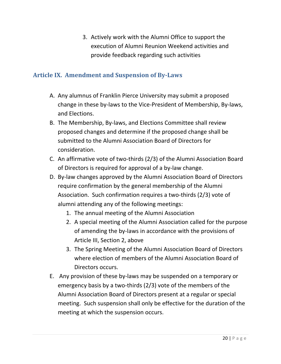3. Actively work with the Alumni Office to support the execution of Alumni Reunion Weekend activities and provide feedback regarding such activities

# **Article IX. Amendment and Suspension of By-Laws**

- A. Any alumnus of Franklin Pierce University may submit a proposed change in these by-laws to the Vice-President of Membership, By-laws, and Elections.
- B. The Membership, By-laws, and Elections Committee shall review proposed changes and determine if the proposed change shall be submitted to the Alumni Association Board of Directors for consideration.
- C. An affirmative vote of two-thirds (2/3) of the Alumni Association Board of Directors is required for approval of a by-law change.
- D. By-law changes approved by the Alumni Association Board of Directors require confirmation by the general membership of the Alumni Association. Such confirmation requires a two-thirds (2/3) vote of alumni attending any of the following meetings:
	- 1. The annual meeting of the Alumni Association
	- 2. A special meeting of the Alumni Association called for the purpose of amending the by-laws in accordance with the provisions of Article III, Section 2, above
	- 3. The Spring Meeting of the Alumni Association Board of Directors where election of members of the Alumni Association Board of Directors occurs.
- E. Any provision of these by-laws may be suspended on a temporary or emergency basis by a two-thirds (2/3) vote of the members of the Alumni Association Board of Directors present at a regular or special meeting. Such suspension shall only be effective for the duration of the meeting at which the suspension occurs.